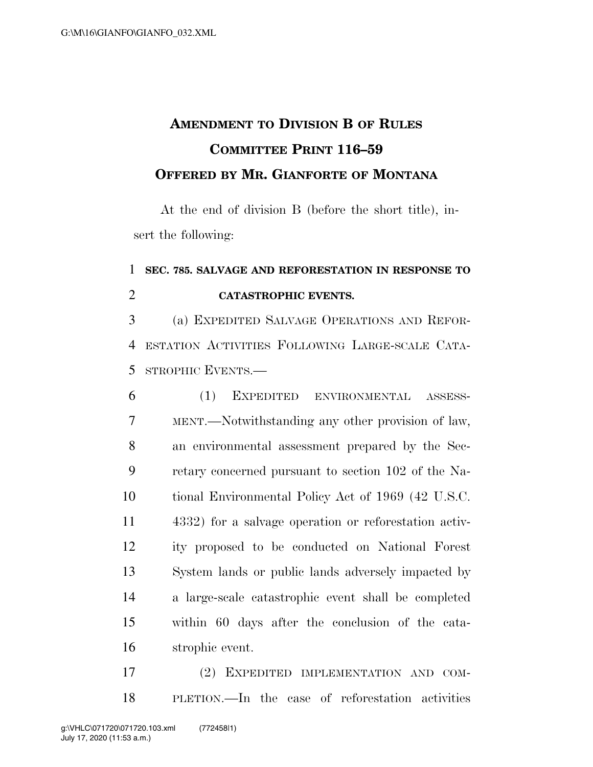## **AMENDMENT TO DIVISION B OF RULES COMMITTEE PRINT 116–59 OFFERED BY MR. GIANFORTE OF MONTANA**

At the end of division B (before the short title), insert the following:

## **SEC. 785. SALVAGE AND REFORESTATION IN RESPONSE TO CATASTROPHIC EVENTS.**

 (a) EXPEDITED SALVAGE OPERATIONS AND REFOR- ESTATION ACTIVITIES FOLLOWING LARGE-SCALE CATA-STROPHIC EVENTS.—

 (1) EXPEDITED ENVIRONMENTAL ASSESS- MENT.—Notwithstanding any other provision of law, an environmental assessment prepared by the Sec- retary concerned pursuant to section 102 of the Na- tional Environmental Policy Act of 1969 (42 U.S.C. 4332) for a salvage operation or reforestation activ- ity proposed to be conducted on National Forest System lands or public lands adversely impacted by a large-scale catastrophic event shall be completed within 60 days after the conclusion of the cata-strophic event.

 (2) EXPEDITED IMPLEMENTATION AND COM-PLETION.—In the case of reforestation activities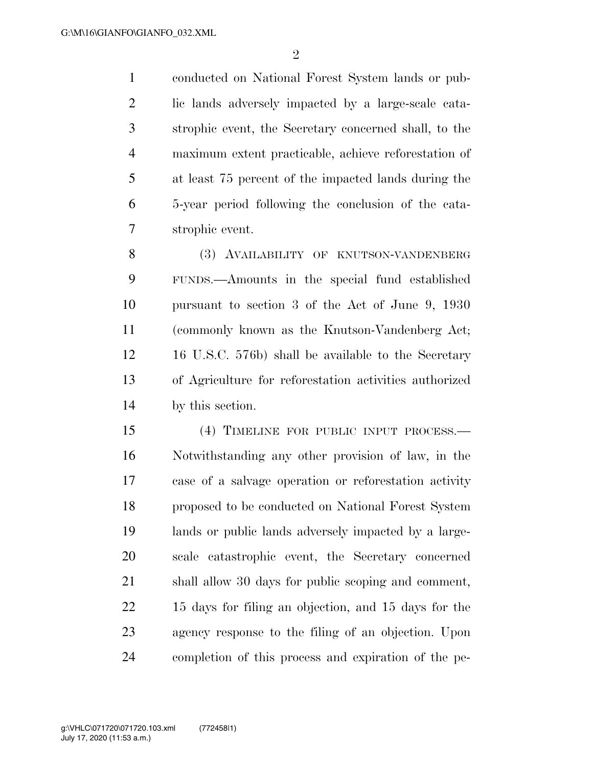conducted on National Forest System lands or pub- lic lands adversely impacted by a large-scale cata- strophic event, the Secretary concerned shall, to the maximum extent practicable, achieve reforestation of at least 75 percent of the impacted lands during the 5-year period following the conclusion of the cata-strophic event.

8 (3) AVAILABILITY OF KNUTSON-VANDENBERG FUNDS.—Amounts in the special fund established pursuant to section 3 of the Act of June 9, 1930 (commonly known as the Knutson-Vandenberg Act; 16 U.S.C. 576b) shall be available to the Secretary of Agriculture for reforestation activities authorized by this section.

 (4) TIMELINE FOR PUBLIC INPUT PROCESS.— Notwithstanding any other provision of law, in the case of a salvage operation or reforestation activity proposed to be conducted on National Forest System lands or public lands adversely impacted by a large- scale catastrophic event, the Secretary concerned shall allow 30 days for public scoping and comment, 15 days for filing an objection, and 15 days for the agency response to the filing of an objection. Upon completion of this process and expiration of the pe